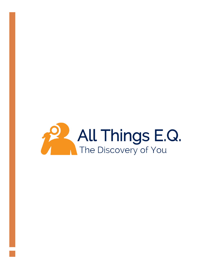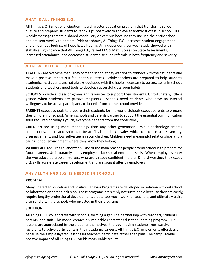# **WHAT IS ALL THINGS E.Q.**

All Things E.Q. (Emotional Quotient) is a character education program that transforms school culture and prepares students to "show up" positively to achieve academic success in school. Our weekly messages create a shared vocabulary on campus because they include the entire school and are sent weekly to parents. Evidence shows, All Things E.Q. increases student engagement and on-campus feelings of hope & well-being. An Independent four-year study showed with statistical significance that All Things E.Q. raised ELA & Math Scores on State Assessments, increased attendance, and decreased student discipline referrals in both frequency and severity.

## **WHAT WE BELIEVE TO BE TRUE**

**TEACHERS** are overwhelmed. They come to school today wanting to connect with their students and make a positive impact but feel continual stress. While teachers are prepared to help students academically, students are not always equipped with the habits necessary to be successful in school. Students and teachers need tools to develop successful classroom habits.

**SCHOOLS** provide endless programs and resources to support their students. Unfortunately, little is gained when students are passive recipients. Schools need students who have an internal willingness to be active participants to benefit from all the school provides.

**PARENTS** expect schools to prepare their students for the world. Schools expect parents to prepare their children for school. When schools and parents partner to support the essential communication skills required of today's youth, everyone benefits from the consistency.

**CHILDREN** are using more technology than any other generation. While technology creates connections, the relationships can be artificial and lack loyalty, which can cause stress, anxiety, disengagement, and low self-esteem in our children. Children need meaningful relationships and a caring school environment where they know they belong.

**WORKPLACE** requires collaboration. One of the main reasons people attend school is to prepare for future careers. Unfortunately, many employees lack social-emotional skills. When employees enter the workplace as problem-solvers who are already confident, helpful & hard-working, they excel. E.Q. skills accelerate career development and are sought after by employers.

## **WHY ALL THINGS E.Q. IS NEEDED IN SCHOOLS**

### **PROBLEM**

Many Character Education and Positive Behavior Programs are developed in isolation without school collaboration or parent inclusion. These programs are simply not sustainable because they are costly, require lengthy professional development, create too much work for teachers, and ultimately train, drain and ditch the schools who invested in their programs.

## **SOLUTION**

All Things E.Q. collaborates with schools, forming a genuine partnership with teachers, students, parents, and staff. This model creates a sustainable character education learning program. Our lessons are appreciated by the students themselves, thereby moving students from passive recipients to active participants in their academic careers. All Things E.Q. implements effortlessly because the simple layered lessons let teachers participate rather than plan. The campus-wide positive impact of All Things E.Q. yields measurable results.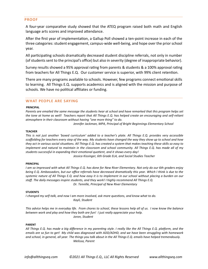### **PROOF**

A four-year comparative study showed that the ATEQ program raised both math and English language arts scores and improved attendance.

After the first year of implementation, a Gallup Poll showed a ten-point increase in each of the three categories: student engagement, campus-wide well-being, and hope over the prior school year.

All participating schools dramatically decreased student discipline referrals, not only in number (of students sent to the principal's office) but also in severity (degree of inappropriate behavior).

Survey results showed a 95% approval rating from parents & students & a 100% approval rating from teachers for All Things E.Q. Our customer service is superior, with 99% client retention.

There are many programs available to schools. However, few programs connect emotional skills to learning. All Things E.Q. supports academics and is aligned with the mission and purpose of schools. We have no political affiliates or funding.

## **WHAT PEOPLE ARE SAYING**

#### **PRINCIPAL**

*Parents are emailed the same message the students hear at school and have remarked that this program helps set the tone at home as well! Teachers report that All Things E.Q. has helped create an encouraging and self-reliant atmosphere in their classroom without having "one more thing" to do.* 

*Jennifer Jackman, MPA, Principal of Bright Beginnings Elementary School*

#### **TEACHER**

*This is not just another 'boxed curriculum' added to a teacher's plate. All Things E.Q. provides very accessible scaffolding for teachers every step of the way. My students have changed the way they show up to school and how they act in various social situations. All Things E.Q. has created a system that makes teaching these skills so easy to implement and natural to maintain in the classroom and school community. All Things E.Q. has made all of my students successful in expanding their emotional quotient, and it shows every day!*

*Jessica Kissinger, 6th Grade ELA, and Social Studies Teacher*

#### **PRINCIPAL**

*I am so impressed with what All Things E.Q. has done for New River Elementary. Not only do our 6th graders enjoy being E.Q. Ambassadors, but our office referrals have decreased dramatically this year. Which I think is due to the systemic nature of All Things E.Q. and how easy it is to implement in our school without placing a burden on our staff. The daily messages inspire students, and they work! I highly recommend All Things E.Q. Dr. Tennille, Principal of New River Elementary*

#### **STUDENTS**

*I changed my self-talk, and now I am more involved, ask more questions, and know what to do. Kayli, Student*

*This advice helps me in everyday life. From chores to school, these lessons help all of us. I now know the balance between work and play and how they both are fun! I just really appreciate your help. Joron, Student*

#### **PARENT**

*All Things E.Q. has made a big difference in my parenting style. I really like the All Things E.Q. platform, and the emails are so fun to get! My child was diagnosed with ADD/ADHD, and we have been struggling with homework and school, in general, all year. The things you talk about in the All Things E.Q. emails have helped tremendously. Melissa, Parent*